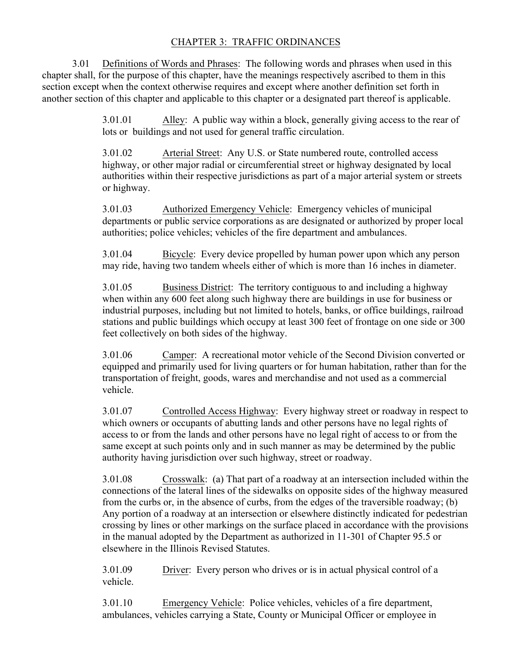## CHAPTER 3: TRAFFIC ORDINANCES

3.01 Definitions of Words and Phrases: The following words and phrases when used in this chapter shall, for the purpose of this chapter, have the meanings respectively ascribed to them in this section except when the context otherwise requires and except where another definition set forth in another section of this chapter and applicable to this chapter or a designated part thereof is applicable.

> 3.01.01 Alley: A public way within a block, generally giving access to the rear of lots or buildings and not used for general traffic circulation.

> 3.01.02 Arterial Street: Any U.S. or State numbered route, controlled access highway, or other major radial or circumferential street or highway designated by local authorities within their respective jurisdictions as part of a major arterial system or streets or highway.

> 3.01.03 Authorized Emergency Vehicle: Emergency vehicles of municipal departments or public service corporations as are designated or authorized by proper local authorities; police vehicles; vehicles of the fire department and ambulances.

> 3.01.04 Bicycle: Every device propelled by human power upon which any person may ride, having two tandem wheels either of which is more than 16 inches in diameter.

3.01.05 Business District: The territory contiguous to and including a highway when within any 600 feet along such highway there are buildings in use for business or industrial purposes, including but not limited to hotels, banks, or office buildings, railroad stations and public buildings which occupy at least 300 feet of frontage on one side or 300 feet collectively on both sides of the highway.

3.01.06 Camper: A recreational motor vehicle of the Second Division converted or equipped and primarily used for living quarters or for human habitation, rather than for the transportation of freight, goods, wares and merchandise and not used as a commercial vehicle.

3.01.07 Controlled Access Highway: Every highway street or roadway in respect to which owners or occupants of abutting lands and other persons have no legal rights of access to or from the lands and other persons have no legal right of access to or from the same except at such points only and in such manner as may be determined by the public authority having jurisdiction over such highway, street or roadway.

3.01.08 Crosswalk: (a) That part of a roadway at an intersection included within the connections of the lateral lines of the sidewalks on opposite sides of the highway measured from the curbs or, in the absence of curbs, from the edges of the traversible roadway; (b) Any portion of a roadway at an intersection or elsewhere distinctly indicated for pedestrian crossing by lines or other markings on the surface placed in accordance with the provisions in the manual adopted by the Department as authorized in 11-301 of Chapter 95.5 or elsewhere in the Illinois Revised Statutes.

3.01.09 Driver: Every person who drives or is in actual physical control of a vehicle.

3.01.10 Emergency Vehicle: Police vehicles, vehicles of a fire department, ambulances, vehicles carrying a State, County or Municipal Officer or employee in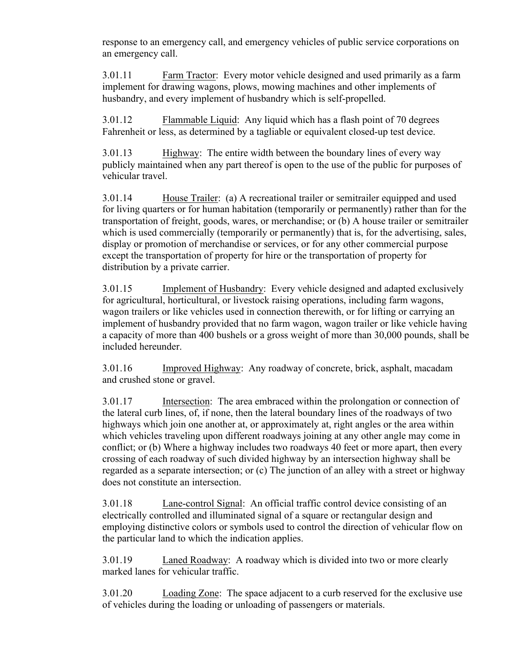response to an emergency call, and emergency vehicles of public service corporations on an emergency call.

3.01.11 Farm Tractor: Every motor vehicle designed and used primarily as a farm implement for drawing wagons, plows, mowing machines and other implements of husbandry, and every implement of husbandry which is self-propelled.

3.01.12 Flammable Liquid: Any liquid which has a flash point of 70 degrees Fahrenheit or less, as determined by a tagliable or equivalent closed-up test device.

3.01.13 Highway: The entire width between the boundary lines of every way publicly maintained when any part thereof is open to the use of the public for purposes of vehicular travel.

3.01.14 House Trailer: (a) A recreational trailer or semitrailer equipped and used for living quarters or for human habitation (temporarily or permanently) rather than for the transportation of freight, goods, wares, or merchandise; or (b) A house trailer or semitrailer which is used commercially (temporarily or permanently) that is, for the advertising, sales, display or promotion of merchandise or services, or for any other commercial purpose except the transportation of property for hire or the transportation of property for distribution by a private carrier.

3.01.15 Implement of Husbandry: Every vehicle designed and adapted exclusively for agricultural, horticultural, or livestock raising operations, including farm wagons, wagon trailers or like vehicles used in connection therewith, or for lifting or carrying an implement of husbandry provided that no farm wagon, wagon trailer or like vehicle having a capacity of more than 400 bushels or a gross weight of more than 30,000 pounds, shall be included hereunder.

3.01.16 Improved Highway: Any roadway of concrete, brick, asphalt, macadam and crushed stone or gravel.

3.01.17 Intersection: The area embraced within the prolongation or connection of the lateral curb lines, of, if none, then the lateral boundary lines of the roadways of two highways which join one another at, or approximately at, right angles or the area within which vehicles traveling upon different roadways joining at any other angle may come in conflict; or (b) Where a highway includes two roadways 40 feet or more apart, then every crossing of each roadway of such divided highway by an intersection highway shall be regarded as a separate intersection; or (c) The junction of an alley with a street or highway does not constitute an intersection.

3.01.18 Lane-control Signal: An official traffic control device consisting of an electrically controlled and illuminated signal of a square or rectangular design and employing distinctive colors or symbols used to control the direction of vehicular flow on the particular land to which the indication applies.

3.01.19 Laned Roadway: A roadway which is divided into two or more clearly marked lanes for vehicular traffic.

3.01.20 Loading Zone: The space adjacent to a curb reserved for the exclusive use of vehicles during the loading or unloading of passengers or materials.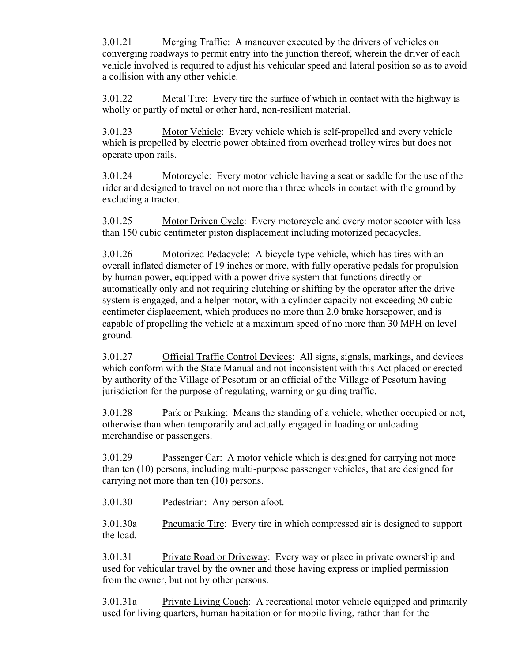3.01.21 Merging Traffic: A maneuver executed by the drivers of vehicles on converging roadways to permit entry into the junction thereof, wherein the driver of each vehicle involved is required to adjust his vehicular speed and lateral position so as to avoid a collision with any other vehicle.

3.01.22 Metal Tire: Every tire the surface of which in contact with the highway is wholly or partly of metal or other hard, non-resilient material.

3.01.23 Motor Vehicle: Every vehicle which is self-propelled and every vehicle which is propelled by electric power obtained from overhead trolley wires but does not operate upon rails.

3.01.24 Motorcycle: Every motor vehicle having a seat or saddle for the use of the rider and designed to travel on not more than three wheels in contact with the ground by excluding a tractor.

3.01.25 Motor Driven Cycle: Every motorcycle and every motor scooter with less than 150 cubic centimeter piston displacement including motorized pedacycles.

3.01.26 Motorized Pedacycle: A bicycle-type vehicle, which has tires with an overall inflated diameter of 19 inches or more, with fully operative pedals for propulsion by human power, equipped with a power drive system that functions directly or automatically only and not requiring clutching or shifting by the operator after the drive system is engaged, and a helper motor, with a cylinder capacity not exceeding 50 cubic centimeter displacement, which produces no more than 2.0 brake horsepower, and is capable of propelling the vehicle at a maximum speed of no more than 30 MPH on level ground.

3.01.27 Official Traffic Control Devices: All signs, signals, markings, and devices which conform with the State Manual and not inconsistent with this Act placed or erected by authority of the Village of Pesotum or an official of the Village of Pesotum having jurisdiction for the purpose of regulating, warning or guiding traffic.

3.01.28 Park or Parking: Means the standing of a vehicle, whether occupied or not, otherwise than when temporarily and actually engaged in loading or unloading merchandise or passengers.

3.01.29 Passenger Car: A motor vehicle which is designed for carrying not more than ten (10) persons, including multi-purpose passenger vehicles, that are designed for carrying not more than ten (10) persons.

3.01.30 Pedestrian: Any person afoot.

3.01.30a Pneumatic Tire: Every tire in which compressed air is designed to support the load.

3.01.31 Private Road or Driveway: Every way or place in private ownership and used for vehicular travel by the owner and those having express or implied permission from the owner, but not by other persons.

3.01.31a Private Living Coach: A recreational motor vehicle equipped and primarily used for living quarters, human habitation or for mobile living, rather than for the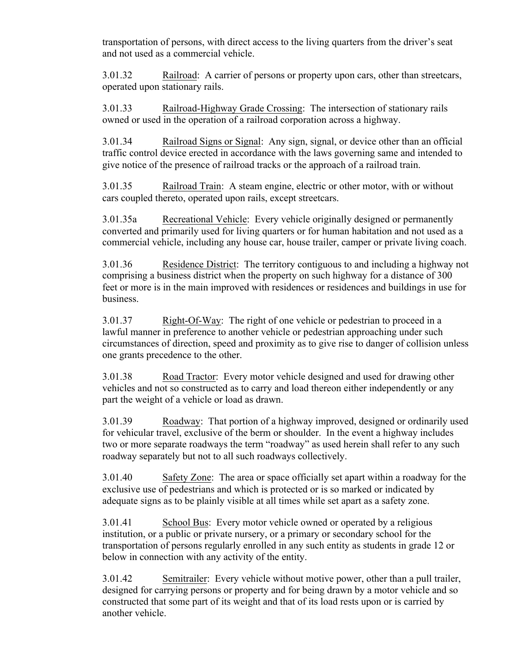transportation of persons, with direct access to the living quarters from the driver's seat and not used as a commercial vehicle.

3.01.32 Railroad: A carrier of persons or property upon cars, other than streetcars, operated upon stationary rails.

3.01.33 Railroad-Highway Grade Crossing: The intersection of stationary rails owned or used in the operation of a railroad corporation across a highway.

3.01.34 Railroad Signs or Signal: Any sign, signal, or device other than an official traffic control device erected in accordance with the laws governing same and intended to give notice of the presence of railroad tracks or the approach of a railroad train.

3.01.35 Railroad Train: A steam engine, electric or other motor, with or without cars coupled thereto, operated upon rails, except streetcars.

3.01.35a Recreational Vehicle: Every vehicle originally designed or permanently converted and primarily used for living quarters or for human habitation and not used as a commercial vehicle, including any house car, house trailer, camper or private living coach.

3.01.36 Residence District: The territory contiguous to and including a highway not comprising a business district when the property on such highway for a distance of 300 feet or more is in the main improved with residences or residences and buildings in use for business.

3.01.37 Right-Of-Way: The right of one vehicle or pedestrian to proceed in a lawful manner in preference to another vehicle or pedestrian approaching under such circumstances of direction, speed and proximity as to give rise to danger of collision unless one grants precedence to the other.

3.01.38 Road Tractor: Every motor vehicle designed and used for drawing other vehicles and not so constructed as to carry and load thereon either independently or any part the weight of a vehicle or load as drawn.

3.01.39 Roadway: That portion of a highway improved, designed or ordinarily used for vehicular travel, exclusive of the berm or shoulder. In the event a highway includes two or more separate roadways the term "roadway" as used herein shall refer to any such roadway separately but not to all such roadways collectively.

3.01.40 Safety Zone: The area or space officially set apart within a roadway for the exclusive use of pedestrians and which is protected or is so marked or indicated by adequate signs as to be plainly visible at all times while set apart as a safety zone.

3.01.41 School Bus: Every motor vehicle owned or operated by a religious institution, or a public or private nursery, or a primary or secondary school for the transportation of persons regularly enrolled in any such entity as students in grade 12 or below in connection with any activity of the entity.

3.01.42 Semitrailer: Every vehicle without motive power, other than a pull trailer, designed for carrying persons or property and for being drawn by a motor vehicle and so constructed that some part of its weight and that of its load rests upon or is carried by another vehicle.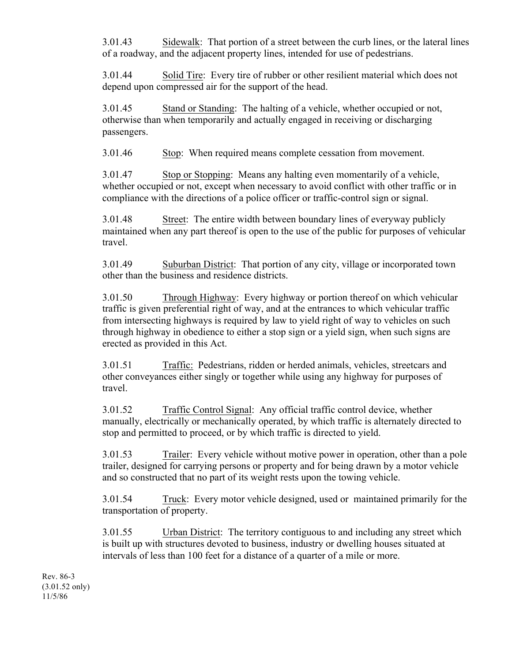3.01.43 Sidewalk: That portion of a street between the curb lines, or the lateral lines of a roadway, and the adjacent property lines, intended for use of pedestrians.

3.01.44 Solid Tire: Every tire of rubber or other resilient material which does not depend upon compressed air for the support of the head.

3.01.45 Stand or Standing: The halting of a vehicle, whether occupied or not, otherwise than when temporarily and actually engaged in receiving or discharging passengers.

3.01.46 Stop: When required means complete cessation from movement.

3.01.47 Stop or Stopping: Means any halting even momentarily of a vehicle, whether occupied or not, except when necessary to avoid conflict with other traffic or in compliance with the directions of a police officer or traffic-control sign or signal.

3.01.48 Street: The entire width between boundary lines of everyway publicly maintained when any part thereof is open to the use of the public for purposes of vehicular travel.

3.01.49 Suburban District: That portion of any city, village or incorporated town other than the business and residence districts.

3.01.50 Through Highway: Every highway or portion thereof on which vehicular traffic is given preferential right of way, and at the entrances to which vehicular traffic from intersecting highways is required by law to yield right of way to vehicles on such through highway in obedience to either a stop sign or a yield sign, when such signs are erected as provided in this Act.

3.01.51 Traffic: Pedestrians, ridden or herded animals, vehicles, streetcars and other conveyances either singly or together while using any highway for purposes of travel.

3.01.52 Traffic Control Signal: Any official traffic control device, whether manually, electrically or mechanically operated, by which traffic is alternately directed to stop and permitted to proceed, or by which traffic is directed to yield.

3.01.53 Trailer: Every vehicle without motive power in operation, other than a pole trailer, designed for carrying persons or property and for being drawn by a motor vehicle and so constructed that no part of its weight rests upon the towing vehicle.

3.01.54 Truck: Every motor vehicle designed, used or maintained primarily for the transportation of property.

3.01.55 Urban District: The territory contiguous to and including any street which is built up with structures devoted to business, industry or dwelling houses situated at intervals of less than 100 feet for a distance of a quarter of a mile or more.

Rev. 86-3 (3.01.52 only) 11/5/86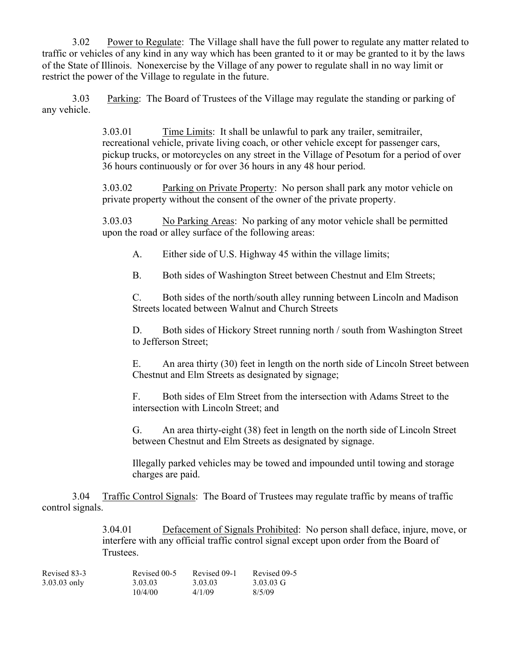3.02 Power to Regulate: The Village shall have the full power to regulate any matter related to traffic or vehicles of any kind in any way which has been granted to it or may be granted to it by the laws of the State of Illinois. Nonexercise by the Village of any power to regulate shall in no way limit or restrict the power of the Village to regulate in the future.

3.03 Parking: The Board of Trustees of the Village may regulate the standing or parking of any vehicle.

> 3.03.01 Time Limits: It shall be unlawful to park any trailer, semitrailer, recreational vehicle, private living coach, or other vehicle except for passenger cars, pickup trucks, or motorcycles on any street in the Village of Pesotum for a period of over 36 hours continuously or for over 36 hours in any 48 hour period.

3.03.02 Parking on Private Property: No person shall park any motor vehicle on private property without the consent of the owner of the private property.

3.03.03 No Parking Areas: No parking of any motor vehicle shall be permitted upon the road or alley surface of the following areas:

A. Either side of U.S. Highway 45 within the village limits;

B. Both sides of Washington Street between Chestnut and Elm Streets;

C. Both sides of the north/south alley running between Lincoln and Madison Streets located between Walnut and Church Streets

D. Both sides of Hickory Street running north / south from Washington Street to Jefferson Street;

E. An area thirty (30) feet in length on the north side of Lincoln Street between Chestnut and Elm Streets as designated by signage;

F. Both sides of Elm Street from the intersection with Adams Street to the intersection with Lincoln Street; and

G. An area thirty-eight (38) feet in length on the north side of Lincoln Street between Chestnut and Elm Streets as designated by signage.

Illegally parked vehicles may be towed and impounded until towing and storage charges are paid.

3.04 Traffic Control Signals: The Board of Trustees may regulate traffic by means of traffic control signals.

> 3.04.01 Defacement of Signals Prohibited: No person shall deface, injure, move, or interfere with any official traffic control signal except upon order from the Board of Trustees.

| Revised 83-3   | Revised 00-5 | Revised 09-1 | Revised 09-5 |
|----------------|--------------|--------------|--------------|
| $3.03.03$ only | 3.03.03      | 3.03.03      | 3.03.03 G    |
|                | 10/4/00      | 4/1/09       | 8/5/09       |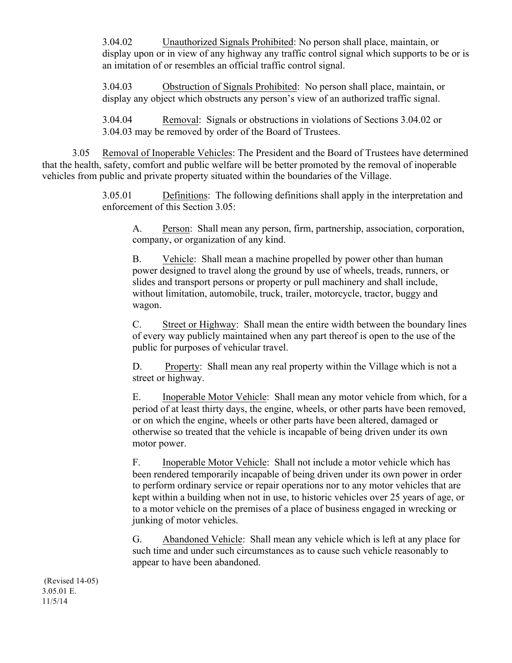3.04.02 Unauthorized Signals Prohibited: No person shall place, maintain, or display upon or in view of any highway any traffic control signal which supports to be or is an imitation of or resembles an official traffic control signal.

3.04.03 Obstruction of Signals Prohibited: No person shall place, maintain, or display any object which obstructs any person's view of an authorized traffic signal.

3.04.04 Removal: Signals or obstructions in violations of Sections 3.04.02 or 3.04.03 may be removed by order of the Board of Trustees.

3.05 Removal of Inoperable Vehicles: The President and the Board of Trustees have determined that the health, safety, comfort and public welfare will be better promoted by the removal of inoperable vehicles from public and private property situated within the boundaries of the Village.

> 3.05.01 Definitions: The following definitions shall apply in the interpretation and enforcement of this Section 3.05:

A. Person: Shall mean any person, firm, partnership, association, corporation, company, or organization of any kind.

B. Vehicle: Shall mean a machine propelled by power other than human power designed to travel along the ground by use of wheels, treads, runners, or slides and transport persons or property or pull machinery and shall include, without limitation, automobile, truck, trailer, motorcycle, tractor, buggy and wagon.

C. Street or Highway: Shall mean the entire width between the boundary lines of every way publicly maintained when any part thereof is open to the use of the public for purposes of vehicular travel.

D. Property: Shall mean any real property within the Village which is not a street or highway.

E. Inoperable Motor Vehicle: Shall mean any motor vehicle from which, for a period of at least thirty days, the engine, wheels, or other parts have been removed, or on which the engine, wheels or other parts have been altered, damaged or otherwise so treated that the vehicle is incapable of being driven under its own motor power.

F. Inoperable Motor Vehicle: Shall not include a motor vehicle which has been rendered temporarily incapable of being driven under its own power in order to perform ordinary service or repair operations nor to any motor vehicles that are kept within a building when not in use, to historic vehicles over 25 years of age, or to a motor vehicle on the premises of a place of business engaged in wrecking or junking of motor vehicles.

G. Abandoned Vehicle: Shall mean any vehicle which is left at any place for such time and under such circumstances as to cause such vehicle reasonably to appear to have been abandoned.

(Revised 14-05) 3.05.01 E. 11/5/14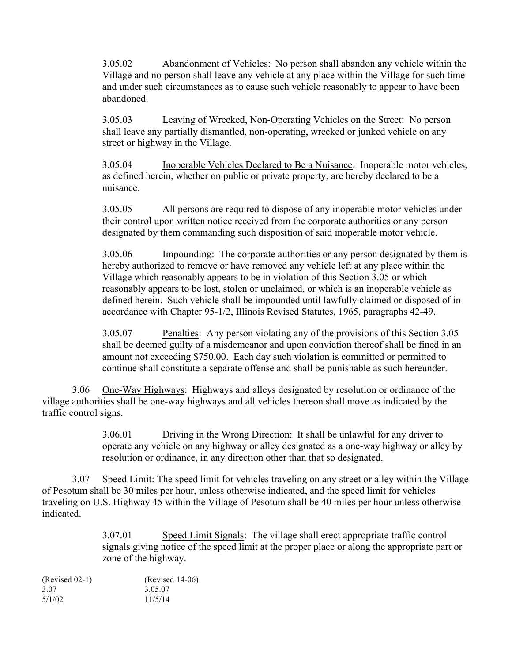3.05.02 Abandonment of Vehicles: No person shall abandon any vehicle within the Village and no person shall leave any vehicle at any place within the Village for such time and under such circumstances as to cause such vehicle reasonably to appear to have been abandoned.

3.05.03 Leaving of Wrecked, Non-Operating Vehicles on the Street: No person shall leave any partially dismantled, non-operating, wrecked or junked vehicle on any street or highway in the Village.

3.05.04 Inoperable Vehicles Declared to Be a Nuisance: Inoperable motor vehicles, as defined herein, whether on public or private property, are hereby declared to be a nuisance.

3.05.05 All persons are required to dispose of any inoperable motor vehicles under their control upon written notice received from the corporate authorities or any person designated by them commanding such disposition of said inoperable motor vehicle.

3.05.06 Impounding: The corporate authorities or any person designated by them is hereby authorized to remove or have removed any vehicle left at any place within the Village which reasonably appears to be in violation of this Section 3.05 or which reasonably appears to be lost, stolen or unclaimed, or which is an inoperable vehicle as defined herein. Such vehicle shall be impounded until lawfully claimed or disposed of in accordance with Chapter 95-1/2, Illinois Revised Statutes, 1965, paragraphs 42-49.

3.05.07 Penalties: Any person violating any of the provisions of this Section 3.05 shall be deemed guilty of a misdemeanor and upon conviction thereof shall be fined in an amount not exceeding \$750.00. Each day such violation is committed or permitted to continue shall constitute a separate offense and shall be punishable as such hereunder.

3.06 One-Way Highways: Highways and alleys designated by resolution or ordinance of the village authorities shall be one-way highways and all vehicles thereon shall move as indicated by the traffic control signs.

> 3.06.01 Driving in the Wrong Direction: It shall be unlawful for any driver to operate any vehicle on any highway or alley designated as a one-way highway or alley by resolution or ordinance, in any direction other than that so designated.

3.07 Speed Limit: The speed limit for vehicles traveling on any street or alley within the Village of Pesotum shall be 30 miles per hour, unless otherwise indicated, and the speed limit for vehicles traveling on U.S. Highway 45 within the Village of Pesotum shall be 40 miles per hour unless otherwise indicated.

> 3.07.01 Speed Limit Signals: The village shall erect appropriate traffic control signals giving notice of the speed limit at the proper place or along the appropriate part or zone of the highway.

| $(Revised 02-1)$ | $(Revised 14-06)$ |
|------------------|-------------------|
| 3.07             | 3.05.07           |
| 5/1/02           | 11/5/14           |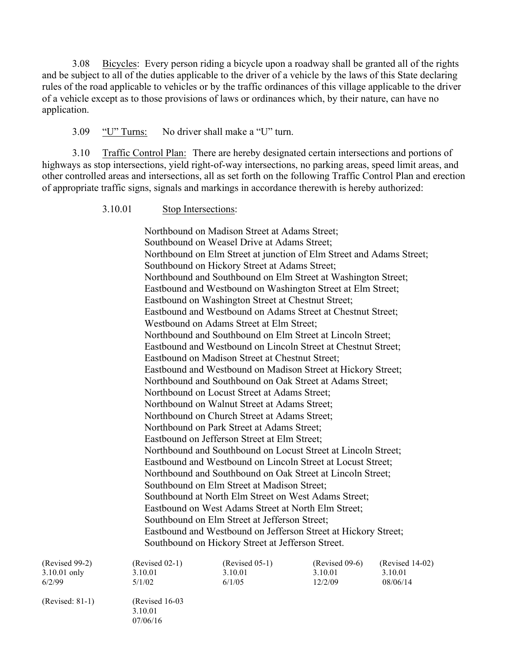3.08 Bicycles: Every person riding a bicycle upon a roadway shall be granted all of the rights and be subject to all of the duties applicable to the driver of a vehicle by the laws of this State declaring rules of the road applicable to vehicles or by the traffic ordinances of this village applicable to the driver of a vehicle except as to those provisions of laws or ordinances which, by their nature, can have no application.

3.09 "U" Turns: No driver shall make a "U" turn.

3.10 Traffic Control Plan: There are hereby designated certain intersections and portions of highways as stop intersections, yield right-of-way intersections, no parking areas, speed limit areas, and other controlled areas and intersections, all as set forth on the following Traffic Control Plan and erection of appropriate traffic signs, signals and markings in accordance therewith is hereby authorized:

3.10.01 Stop Intersections:

Northbound on Madison Street at Adams Street; Southbound on Weasel Drive at Adams Street; Northbound on Elm Street at junction of Elm Street and Adams Street; Southbound on Hickory Street at Adams Street; Northbound and Southbound on Elm Street at Washington Street; Eastbound and Westbound on Washington Street at Elm Street; Eastbound on Washington Street at Chestnut Street; Eastbound and Westbound on Adams Street at Chestnut Street; Westbound on Adams Street at Elm Street; Northbound and Southbound on Elm Street at Lincoln Street; Eastbound and Westbound on Lincoln Street at Chestnut Street; Eastbound on Madison Street at Chestnut Street; Eastbound and Westbound on Madison Street at Hickory Street; Northbound and Southbound on Oak Street at Adams Street; Northbound on Locust Street at Adams Street; Northbound on Walnut Street at Adams Street; Northbound on Church Street at Adams Street; Northbound on Park Street at Adams Street; Eastbound on Jefferson Street at Elm Street; Northbound and Southbound on Locust Street at Lincoln Street; Eastbound and Westbound on Lincoln Street at Locust Street; Northbound and Southbound on Oak Street at Lincoln Street; Southbound on Elm Street at Madison Street; Southbound at North Elm Street on West Adams Street; Eastbound on West Adams Street at North Elm Street; Southbound on Elm Street at Jefferson Street; Eastbound and Westbound on Jefferson Street at Hickory Street; Southbound on Hickory Street at Jefferson Street.

| $(Revised 99-2)$ | $(Revised 02-1)$ | $(Revised 05-1)$ | $(Revised 09-6)$ | $(Revised 14-02)$ |
|------------------|------------------|------------------|------------------|-------------------|
| $3.10.01$ only   | 3.10.01          | 3.10.01          | 3.10.01          | 3.10.01           |
| 6/2/99           | 5/1/02           | 6/1/05           | 12/2/09          | 08/06/14          |

(Revised: 81-1) (Revised 16-03 3.10.01 07/06/16